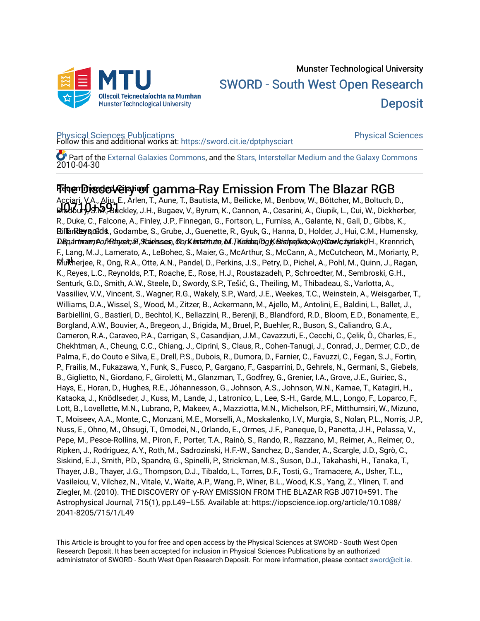

# [Physical Sciences Publications](https://sword.cit.ie/dptphysciart) [Physical Sciences](https://sword.cit.ie/dptphysci)  Follow this and additional works at: [https://sword.cit.ie/dptphysciart](https://sword.cit.ie/dptphysciart?utm_source=sword.cit.ie%2Fdptphysciart%2F102&utm_medium=PDF&utm_campaign=PDFCoverPages)

2010-04-30 Part of the [External Galaxies Commons](http://network.bepress.com/hgg/discipline/128?utm_source=sword.cit.ie%2Fdptphysciart%2F102&utm_medium=PDF&utm_campaign=PDFCoverPages), and the Stars, Interstellar Medium and the Galaxy Commons

# Tৰক্ষেটাস্তুত স্পেন্টাৰ্জ gamma-Ray Emission From The Blazar RGB

J0710+591 Bradbury, S.M., Buckley, J.H., Bugaev, V., Byrum, K., Cannon, A., Cesarini, A., Ciupik, L., Cui, W., Dickherber, Bil**landeys, ddds**., Godambe, S., Grube, J., Guenette, R., Gyuk, G., Hanna, D., Holder, J., Hui, C.M., Humensky, D.Bp,a**rtmær, A., I.R.daysoic, A., Kaielsses, Ob/Kentaituae, M. Teldulog, Ibgyk Bishopplisto, A., I.R.Bowic, zyerleini, H., Krennrich,** et al Mukherjee, R., Ong, R.A., Otte, A.N., Pandel, D., Perkins, J.S., Petry, D., Pichel, A., Pohl, M., Quinn, J., Ragan, Acciari, V.A., Aliu, E., Arlen, T., Aune, T., Bautista, M., Beilicke, M., Benbow, W., Böttcher, M., Boltuch, D., R., Duke, C., Falcone, A., Finley, J.P., Finnegan, G., Fortson, L., Furniss, A., Galante, N., Gall, D., Gibbs, K., F., Lang, M.J., Lamerato, A., LeBohec, S., Maier, G., McArthur, S., McCann, A., McCutcheon, M., Moriarty, P., K., Reyes, L.C., Reynolds, P.T., Roache, E., Rose, H.J., Roustazadeh, P., Schroedter, M., Sembroski, G.H., Senturk, G.D., Smith, A.W., Steele, D., Swordy, S.P., Tešić, G., Theiling, M., Thibadeau, S., Varlotta, A., Vassiliev, V.V., Vincent, S., Wagner, R.G., Wakely, S.P., Ward, J.E., Weekes, T.C., Weinstein, A., Weisgarber, T., Williams, D.A., Wissel, S., Wood, M., Zitzer, B., Ackermann, M., Ajello, M., Antolini, E., Baldini, L., Ballet, J., Barbiellini, G., Bastieri, D., Bechtol, K., Bellazzini, R., Berenji, B., Blandford, R.D., Bloom, E.D., Bonamente, E., Borgland, A.W., Bouvier, A., Bregeon, J., Brigida, M., Bruel, P., Buehler, R., Buson, S., Caliandro, G.A., Cameron, R.A., Caraveo, P.A., Carrigan, S., Casandjian, J.M., Cavazzuti, E., Cecchi, C., Çelik, Ö., Charles, E., Chekhtman, A., Cheung, C.C., Chiang, J., Ciprini, S., Claus, R., Cohen-Tanugi, J., Conrad, J., Dermer, C.D., de Palma, F., do Couto e Silva, E., Drell, P.S., Dubois, R., Dumora, D., Farnier, C., Favuzzi, C., Fegan, S.J., Fortin, P., Frailis, M., Fukazawa, Y., Funk, S., Fusco, P., Gargano, F., Gasparrini, D., Gehrels, N., Germani, S., Giebels, B., Giglietto, N., Giordano, F., Giroletti, M., Glanzman, T., Godfrey, G., Grenier, I.A., Grove, J.E., Guiriec, S., Hays, E., Horan, D., Hughes, R.E., Jóhannesson, G., Johnson, A.S., Johnson, W.N., Kamae, T., Katagiri, H., Kataoka, J., Knödlseder, J., Kuss, M., Lande, J., Latronico, L., Lee, S.-H., Garde, M.L., Longo, F., Loparco, F., Lott, B., Lovellette, M.N., Lubrano, P., Makeev, A., Mazziotta, M.N., Michelson, P.F., Mitthumsiri, W., Mizuno, T., Moiseev, A.A., Monte, C., Monzani, M.E., Morselli, A., Moskalenko, I.V., Murgia, S., Nolan, P.L., Norris, J.P., Nuss, E., Ohno, M., Ohsugi, T., Omodei, N., Orlando, E., Ormes, J.F., Paneque, D., Panetta, J.H., Pelassa, V., Pepe, M., Pesce-Rollins, M., Piron, F., Porter, T.A., Rainò, S., Rando, R., Razzano, M., Reimer, A., Reimer, O., Ripken, J., Rodriguez, A.Y., Roth, M., Sadrozinski, H.F.-W., Sanchez, D., Sander, A., Scargle, J.D., Sgrò, C., Siskind, E.J., Smith, P.D., Spandre, G., Spinelli, P., Strickman, M.S., Suson, D.J., Takahashi, H., Tanaka, T., Thayer, J.B., Thayer, J.G., Thompson, D.J., Tibaldo, L., Torres, D.F., Tosti, G., Tramacere, A., Usher, T.L., Vasileiou, V., Vilchez, N., Vitale, V., Waite, A.P., Wang, P., Winer, B.L., Wood, K.S., Yang, Z., Ylinen, T. and Ziegler, M. (2010). THE DISCOVERY OF γ-RAY EMISSION FROM THE BLAZAR RGB J0710+591. The Astrophysical Journal, 715(1), pp.L49–L55. Available at: https://iopscience.iop.org/article/10.1088/ 2041-8205/715/1/L49

This Article is brought to you for free and open access by the Physical Sciences at SWORD - South West Open Research Deposit. It has been accepted for inclusion in Physical Sciences Publications by an authorized administrator of SWORD - South West Open Research Deposit. For more information, please contact [sword@cit.ie.](mailto:sword@cit.ie)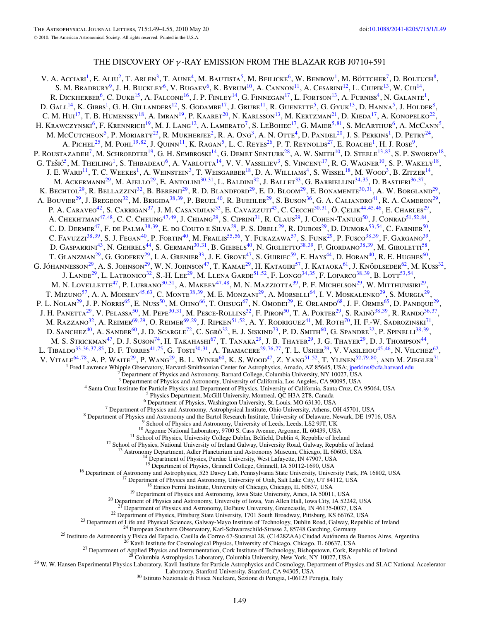## THE DISCOVERY OF *γ* -RAY EMISSION FROM THE BLAZAR RGB J0710+591

V. A. Acciari<sup>1</sup>, E. Aliu<sup>2</sup>, T. Arlen<sup>3</sup>, T. Aune<sup>4</sup>, M. Bautista<sup>5</sup>, M. Beilicke<sup>6</sup>, W. Benbow<sup>1</sup>, M. Böttcher<sup>7</sup>, D. Boltuch<sup>8</sup>, S. M. BRADBURY<sup>9</sup>, J. H. BUCKLEY<sup>6</sup>, V. BUGAEV<sup>6</sup>, K. BYRUM<sup>10</sup>, A. CANNON<sup>11</sup>, A. CESARINI<sup>12</sup>, L. CIUPIK<sup>13</sup>, W. CUI<sup>14</sup>, R. DICKHERBER<sup>6</sup>, C. DUKE<sup>15</sup>, A. FALCONE<sup>16</sup>, J. P. FINLEY<sup>14</sup>, G. FINNEGAN<sup>17</sup>, L. FORTSON<sup>13</sup>, A. FURNISS<sup>4</sup>, N. GALANTE<sup>1</sup>, D. Gall<sup>14</sup>, K. Gibbs<sup>1</sup>, G. H. Gillanders<sup>12</sup>, S. Godambe<sup>17</sup>, J. Grube<sup>11</sup>, R. Guenette<sup>5</sup>, G. Gyuk<sup>13</sup>, D. Hanna<sup>5</sup>, J. Holder<sup>8</sup>, C. M. Hui<sup>17</sup>, T. B. Humensky<sup>18</sup>, A. Imran<sup>19</sup>, P. Kaaret<sup>20</sup>, N. Karlsson<sup>13</sup>, M. Kertzman<sup>21</sup>, D. Kieda<sup>17</sup>, A. Konopelko<sup>22</sup>, H. Krawczynski<sup>6</sup>, F. Krennrich<sup>19</sup>, M. J. Lang<sup>12</sup>, A. Lamerato<sup>7</sup>, S. LeBohec<sup>17</sup>, G. Maier<sup>5,[81](#page-3-0)</sup>, S. McArthur<sup>6</sup>, A. McCann<sup>5</sup>, M. McCutcheon<sup>5</sup>, P. Moriarty<sup>23</sup>, R. Mukherjee<sup>2</sup>, R. A. Ong<sup>3</sup>, A. N. Otte<sup>4</sup>, D. Pandel<sup>20</sup>, J. S. Perkins<sup>1</sup>, D. Petry<sup>24</sup>, A. PICHEL<sup>25</sup>, M. POHL<sup>19,[82](#page-3-0)</sup>, J. QUINN<sup>11</sup>, K. RAGAN<sup>5</sup>, L. C. REYES<sup>26</sup>, P. T. REYNOLDS<sup>27</sup>, E. ROACHE<sup>1</sup>, H. J. ROSE<sup>9</sup>, P. ROUSTAZADEH<sup>7</sup>, M. SCHROEDTER<sup>19</sup>, G. H. SEMBROSKI<sup>14</sup>, G. DEMET SENTURK<sup>28</sup>, A. W. SMITH<sup>10</sup>, D. STEELE<sup>13,[83](#page-3-0)</sup>, S. P. SWORDY<sup>18</sup>, G. TEŠIĆ<sup>5</sup>, M. THEILING<sup>1</sup>, S. THIBADEAU<sup>6</sup>, A. VARLOTTA<sup>14</sup>, V. V. VASSILIEV<sup>3</sup>, S. VINCENT<sup>17</sup>, R. G. WAGNER<sup>10</sup>, S. P. WAKELY<sup>18</sup>, J. E. WARD<sup>11</sup>, T. C. WEEKES<sup>1</sup>, A. WEINSTEIN<sup>3</sup>, T. WEISGARBER<sup>18</sup>, D. A. WILLIAMS<sup>4</sup>, S. WISSEL<sup>18</sup>, M. WOOD<sup>3</sup>, B. ZITZER<sup>14</sup>, M. Ackermann<sup>29</sup>, M. Ajello<sup>29</sup>, E. Antolini<sup>30,31</sup>, L. Baldini<sup>32</sup>, J. Ballet<sup>33</sup>, G. Barbiellini<sup>34,35</sup>, D. Bastieri<sup>36,37</sup>, K. Bechtol<sup>29</sup>, R. Bellazzini<sup>32</sup>, B. Berenji<sup>29</sup>, R. D. Blandford<sup>29</sup>, E. D. Bloom<sup>29</sup>, E. Bonamente<sup>30,31</sup>, A. W. Borgland<sup>29</sup>, A. BOUVIER<sup>29</sup>, J. BREGEON<sup>32</sup>, M. BRIGIDA<sup>38, 39</sup>, P. BRUEL<sup>40</sup>, R. BUEHLER<sup>29</sup>, S. BUSON<sup>36</sup>, G. A. CALIANDRO<sup>41</sup>, R. A. CAMERON<sup>29</sup>, P. A. CARAVEO<sup>42</sup>, S. CARRIGAN<sup>37</sup>, J. M. CASANDJIAN<sup>33</sup>, E. CAVAZZUTI<sup>43</sup>, C. CECCHI<sup>30,31</sup>, Ö. ÇELIK<sup>44,45,46</sup>, E. CHARLES<sup>29</sup>, A. CHEKHTMAN<sup>47,48</sup>, C. C. CHEUNG<sup>47,49</sup>, J. CHIANG<sup>29</sup>, S. CIPRINI<sup>31</sup>, R. CLAUS<sup>29</sup>, J. COHEN-TANUGI<sup>50</sup>, J. CONRAD<sup>51,52,[84](#page-3-0)</sup>, C. D. DERMER<sup>47</sup>, F. DE PALMA<sup>38,39</sup>, E. DO COUTO E SILVA<sup>29</sup>, P. S. DRELL<sup>29</sup>, R. DUBOIS<sup>29</sup>, D. DUMORA<sup>53,54</sup>, C. FARNIER<sup>50</sup>, C. Favuzzi38*,*39, S. J. Fegan40, P. Fortin40, M. Frailis55*,*56, Y. Fukazawa57, S. Funk29, P. Fusco38*,*39, F. Gargano39, D. Gasparrini43, N. Gehrels44, S. Germani30*,*31, B. Giebels40, N. Giglietto38*,*39, F. Giordano38*,*39, M. Giroletti58, T. GLANZMAN<sup>29</sup>, G. GODFREY<sup>29</sup>, I. A. GRENIER<sup>33</sup>, J. E. GROVE<sup>47</sup>, S. GUIRIEC<sup>59</sup>, E. HAYS<sup>44</sup>, D. HORAN<sup>40</sup>, R. E. HUGHES<sup>60</sup>, G. JÓHANNESSON<sup>29</sup>, A. S. JOHNSON<sup>29</sup>, W. N. JOHNSON<sup>47</sup>, T. KAMAE<sup>29</sup>, H. KATAGIRI<sup>57</sup>, J. KATAOKA<sup>61</sup>, J. KNÖDLSEDER<sup>62</sup>, M. KUSS<sup>32</sup>, J. Lande29, L. Latronico32, S.-H. Lee29, M. Llena Garde51*,*52, F. Longo34*,*35, F. Loparco38*,*39, B. Lott53*,*54, M. N. Lovellette<sup>47</sup>, P. Lubrano<sup>30,31</sup>, A. Makeev<sup>47,48</sup>, M. N. Mazziotta<sup>39</sup>, P. F. Michelson<sup>29</sup>, W. Mitthumsiri<sup>29</sup>, T. Mizuno<sup>57</sup>, A. A. Moiseev<sup>45,63</sup>, C. Monte<sup>38,39</sup>, M. E. Monzani<sup>29</sup>, A. Morselli<sup>64</sup>, I. V. Moskalenko<sup>29</sup>, S. Murgia<sup>29</sup>, P. L. NOLAN<sup>29</sup>, J. P. NORRIS<sup>65</sup>, E. NUSS<sup>50</sup>, M. OHNO<sup>66</sup>, T. OHSUGI<sup>67</sup>, N. OMODEI<sup>29</sup>, E. ORLANDO<sup>68</sup>, J. F. ORMES<sup>65</sup>, D. PANEQUE<sup>29</sup>, J. H. PANETTA<sup>29</sup>, V. PELASSA<sup>50</sup>, M. PEPE<sup>30,31</sup>, M. PESCE-ROLLINS<sup>32</sup>, F. PIRON<sup>50</sup>, T. A. PORTER<sup>29</sup>, S. RAINO<sup>38,39</sup>, R. RANDO<sup>36,37</sup>, M. Razzano<sup>32</sup>, A. Reimer<sup>69,29</sup>, O. Reimer<sup>69,29</sup>, J. Ripken<sup>51,52</sup>, A. Y. Rodriguez<sup>41</sup>, M. Roth<sup>70</sup>, H. F.-W. Sadrozinski<sup>71</sup>, D. SANCHEZ<sup>40</sup>, A. SANDER<sup>60</sup>, J. D. SCARGLE<sup>72</sup>, C. SGRO<sup>32</sup>, E. J. SISKIND<sup>73</sup>, P. D. SMITH<sup>60</sup>, G. SPANDRE<sup>32</sup>, P. SPINELLI<sup>38,39</sup>, M. S. STRICKMAN<sup>47</sup>, D. J. SUSON<sup>74</sup>, H. TAKAHASHI<sup>67</sup>, T. TANAKA<sup>29</sup>, J. B. THAYER<sup>29</sup>, J. G. THAYER<sup>29</sup>, D. J. THOMPSON<sup>44</sup>, L. TIBALDO<sup>33,36,37,[85](#page-3-0)</sup>, D. F. TORRES<sup>41,75</sup>, G. TOSTI<sup>30,31</sup>, A. TRAMACERE<sup>29,76,77</sup>, T. L. USHER<sup>29</sup>, V. VASILEIOU<sup>45,46</sup>, N. VILCHEZ<sup>62</sup>, V. VITALE<sup>64,78</sup>, A. P. WAITE<sup>29</sup>, P. WANG<sup>29</sup>, B. L. WINER<sup>60</sup>, K. S. WOOD<sup>47</sup>, Z. YANG<sup>51,52</sup>, T. YLINEN<sup>52,79,80</sup>, AND M. ZIEGLER<sup>71</sup> <sup>1</sup> Fred Lawrence Whipple Observatory, Harvard-Smithsonian Center for Astrophysics, Amado, AZ 85645, USA; [jperkins@cfa.harvard.edu](mailto:jperkins@cfa.harvard.edu) <sup>2</sup> Department of Physics and Astronomy, Barnard College, Columbia University, NY 10027, US <sup>3</sup> Department of Physics and Astronomy, University of California, Los Angeles, CA 90095, USA<br>
<sup>4</sup> Santa Cruz Institute for Particle Physics and Department of Physics, University of California, Santa Cruz, CA 95064, USA<br> <sup>14</sup> Department of Physics, Purdue University, West Lafayette, IN 47907, USA<br><sup>15</sup> Department of Physics, Grinnell College, Grinnell, IA 50112-1690, USA<br><sup>15</sup> Department of Astronomy and Astrophysics, 525 Davey Lab, Pennsyl <sup>22</sup> Department of Physics, Pittsburg State University, 1701 South Broadway, Pittsburg, KS 66762, USA<br><sup>23</sup> Department of Life and Physical Sciences, Galway-Mayo Institute of Technology, Dublin Road, Galway, Republic of Ir

Laboratory, Stanford University, Stanford, CA 94305, USA <sup>30</sup> Istituto Nazionale di Fisica Nucleare, Sezione di Perugia, I-06123 Perugia, Italy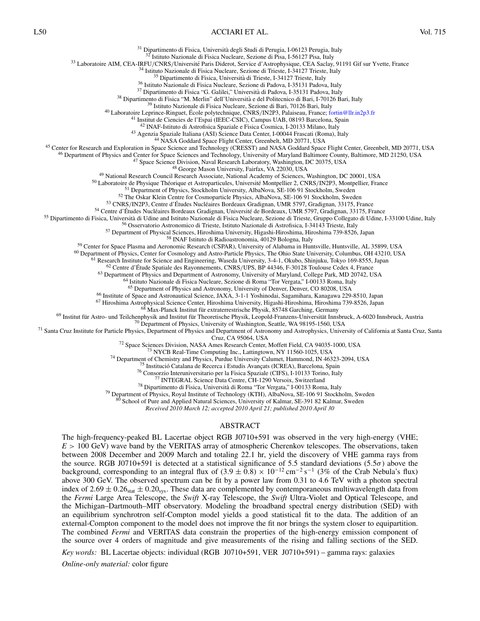#### L50 ACCIARI ET AL. Vol. 715

<sup>31</sup> Dipartimento di Fisica, Università degli Studi di Perugia, I-06123 Perugia, Italy<br><sup>32</sup> Istituto Nazionale di Fisica Nucleare, Sezione di Pisa, I-56127 Pisa, Italy<br><sup>32</sup> Istituto Nazionale di Fisica Nucleare, Sezione d <sup>42</sup> NAP-Leituto di Astrofisica Spariale relista e Fisica Cosmica, 120133 Milano, Italy<br><sup>42</sup> Agenzia Spariale Italiana (ASI) Science Data Center, 1-00044 Fraecaii (Roma), Italy<br><sup>42</sup> Agenzia Spariale Italiana (ASI) Science <sup>65</sup> Department of Physics and Astronomy, University of Denver, Denver, CO 80208, USA<br><sup>66</sup> Institute of Space and Astronautical Science, JAXA, 3-1-1 Yoshinodai, Sagamihara, Kanagawa 229-8510, Japan<br><sup>67</sup> Hiroshima Astrophy <sup>72</sup> Space Sciences Division, NASA Ames Research Center, Moffett Field, CA 94035-1000, USA<br><sup>73</sup> NYCB Real-Time Computing Inc., Lattingtown, NY 11560-1025, USA<br><sup>74</sup> Department of Chemistry and Physics, Purdue University Ca

<sup>80</sup> School of Pure and Applied Natural Sciences, University of Kalmar, SE-391 82 Kalmar, Sweden

*Received 2010 March 12; accepted 2010 April 21; published 2010 April 30*

#### ABSTRACT

The high-frequency-peaked BL Lacertae object RGB J0710+591 was observed in the very high-energy (VHE; *E >* 100 GeV) wave band by the VERITAS array of atmospheric Cherenkov telescopes. The observations, taken between 2008 December and 2009 March and totaling 22.1 hr, yield the discovery of VHE gamma rays from the source. RGB J0710+591 is detected at a statistical significance of 5.5 standard deviations (5.5 $\sigma$ ) above the background, corresponding to an integral flux of  $(3.9 \pm 0.8) \times 10^{-12}$  cm<sup>-2</sup> s<sup>-1</sup> (3% of the Crab Nebula's flux) above 300 GeV. The observed spectrum can be fit by a power law from 0.31 to 4.6 TeV with a photon spectral index of  $2.69 \pm 0.26$ <sub>stat</sub>  $\pm 0.20$ <sub>sys</sub>. These data are complemented by contemporaneous multiwavelength data from the *Fermi* Large Area Telescope, the *Swift* X-ray Telescope, the *Swift* Ultra-Violet and Optical Telescope, and the Michigan–Dartmouth–MIT observatory. Modeling the broadband spectral energy distribution (SED) with an equilibrium synchrotron self-Compton model yields a good statistical fit to the data. The addition of an external-Compton component to the model does not improve the fit nor brings the system closer to equipartition. The combined *Fermi* and VERITAS data constrain the properties of the high-energy emission component of the source over 4 orders of magnitude and give measurements of the rising and falling sections of the SED.

*Key words:* BL Lacertae objects: individual (RGB J0710+591, VER J0710+591) – gamma rays: galaxies *Online-only material:* color figure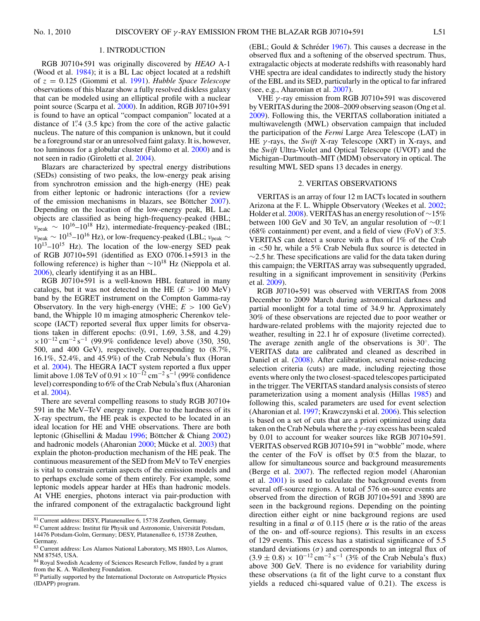#### 1. INTRODUCTION

<span id="page-3-0"></span>RGB J0710+591 was originally discovered by *HEAO* A-1 (Wood et al. [1984\)](#page-7-0); it is a BL Lac object located at a redshift of *z* = 0*.*125 (Giommi et al. [1991\)](#page-6-0). *Hubble Space Telescope* observations of this blazar show a fully resolved diskless galaxy that can be modeled using an elliptical profile with a nuclear point source (Scarpa et al. [2000\)](#page-7-0). In addition, RGB J0710+591 is found to have an optical "compact companion" located at a distance of 1*.* 4 (3.5 kpc) from the core of the active galactic nucleus. The nature of this companion is unknown, but it could be a foreground star or an unresolved faint galaxy. It is, however, too luminous for a globular cluster (Falomo et al. [2000\)](#page-6-0) and is not seen in radio (Giroletti et al. [2004\)](#page-6-0).

Blazars are characterized by spectral energy distributions (SEDs) consisting of two peaks, the low-energy peak arising from synchrotron emission and the high-energy (HE) peak from either leptonic or hadronic interactions (for a review of the emission mechanisms in blazars, see Böttcher [2007\)](#page-6-0). Depending on the location of the low-energy peak, BL Lac objects are classified as being high-frequency-peaked (HBL;  $v_{\text{peak}} \sim 10^{16} - 10^{18}$  Hz), intermediate-frequency-peaked (IBL; *<sup>ν</sup>*peak <sup>∼</sup> 1015–1016 Hz), or low-frequency-peaked (LBL; *<sup>ν</sup>*peak <sup>∼</sup>  $10^{13} - 10^{15}$  Hz). The location of the low-energy SED peak of RGB J0710+591 (identified as EXO 0706.1+5913 in the following reference) is higher than  $\sim 10^{18}$  Hz (Nieppola et al. [2006\)](#page-7-0), clearly identifying it as an HBL.

RGB J0710+591 is a well-known HBL featured in many catalogs, but it was not detected in the HE  $(E > 100 \text{ MeV})$ band by the EGRET instrument on the Compton Gamma-ray Observatory. In the very high-energy (VHE; *E >* 100 GeV) band, the Whipple 10 m imaging atmospheric Cherenkov telescope (IACT) reported several flux upper limits for observations taken in different epochs: (0.91, 1.69, 3.58, and 4.29)  $\times 10^{-12}$  cm<sup>-2</sup> s<sup>-1</sup> (99.9% confidence level) above (350, 350, 500, and 400 GeV), respectively, corresponding to (8.7%, 16.1%, 52.4%, and 45.9%) of the Crab Nebula's flux (Horan et al. [2004\)](#page-7-0). The HEGRA IACT system reported a flux upper limit above 1.08 TeV of  $0.91 \times 10^{-12}$  cm<sup>-2</sup> s<sup>-1</sup> (99% confidence level) corresponding to 6% of the Crab Nebula's flux (Aharonian et al. [2004\)](#page-6-0).

There are several compelling reasons to study RGB J0710+ 591 in the MeV–TeV energy range. Due to the hardness of its X-ray spectrum, the HE peak is expected to be located in an ideal location for HE and VHE observations. There are both leptonic (Ghisellini & Madau [1996;](#page-6-0) Böttcher & Chiang  $2002$ ) and hadronic models (Aharonian [2000;](#page-6-0) Mücke et al. [2003\)](#page-7-0) that explain the photon-production mechanism of the HE peak. The continuous measurement of the SED from MeV to TeV energies is vital to constrain certain aspects of the emission models and to perhaps exclude some of them entirely. For example, some leptonic models appear harder at HEs than hadronic models. At VHE energies, photons interact via pair-production with the infrared component of the extragalactic background light

 $82$  Current address: Institut für Physik und Astronomie, Universität Potsdam, 14476 Potsdam-Golm, Germany; DESY, Platanenallee 6, 15738 Zeuthen, Germany.

(EBL; Gould & Schréder  $1967$ ). This causes a decrease in the observed flux and a softening of the observed spectrum. Thus, extragalactic objects at moderate redshifts with reasonably hard VHE spectra are ideal candidates to indirectly study the history of the EBL and its SED, particularly in the optical to far infrared (see, e.g., Aharonian et al. [2007\)](#page-6-0).

VHE *γ* -ray emission from RGB J0710+591 was discovered by VERITAS during the 2008–2009 observing season (Ong et al. [2009\)](#page-7-0). Following this, the VERITAS collaboration initiated a multiwavelength (MWL) observation campaign that included the participation of the *Fermi* Large Area Telescope (LAT) in HE *γ* -rays, the *Swift* X-ray Telescope (XRT) in X-rays, and the *Swift* Ultra-Violet and Optical Telescope (UVOT) and the Michigan–Dartmouth–MIT (MDM) observatory in optical. The resulting MWL SED spans 13 decades in energy.

#### 2. VERITAS OBSERVATIONS

VERITAS is an array of four 12 m IACTs located in southern Arizona at the F. L. Whipple Observatory (Weekes et al. [2002;](#page-7-0) Holder et al. [2008\)](#page-6-0). VERITAS has an energy resolution of  $\sim$ 15% between 100 GeV and 30 TeV, an angular resolution of ∼0*.* ◦1 (68% containment) per event, and a field of view (FoV) of 3*.* ◦5. VERITAS can detect a source with a flux of 1% of the Crab in *<*50 hr, while a 5% Crab Nebula flux source is detected in ∼2*.*5 hr. These specifications are valid for the data taken during this campaign; the VERITAS array was subsequently upgraded, resulting in a significant improvement in sensitivity (Perkins et al. [2009\)](#page-7-0).

RGB J0710+591 was observed with VERITAS from 2008 December to 2009 March during astronomical darkness and partial moonlight for a total time of 34.9 hr. Approximately 30% of these observations are rejected due to poor weather or hardware-related problems with the majority rejected due to weather, resulting in 22.1 hr of exposure (livetime corrected). The average zenith angle of the observations is 30◦. The VERITAS data are calibrated and cleaned as described in Daniel et al. [\(2008\)](#page-6-0). After calibration, several noise-reducing selection criteria (cuts) are made, including rejecting those events where only the two closest-spaced telescopes participated in the trigger. The VERITAS standard analysis consists of stereo parameterization using a moment analysis (Hillas [1985\)](#page-6-0) and following this, scaled parameters are used for event selection (Aharonian et al. [1997;](#page-6-0) Krawczynski et al. [2006\)](#page-7-0). This selection is based on a set of cuts that are a priori optimized using data taken on the Crab Nebula where the *γ* -ray excess has been scaled by 0.01 to account for weaker sources like RGB J0710+591. VERITAS observed RGB J0710+591 in "wobble" mode, where the center of the FoV is offset by  $0^\circ$ . from the blazar, to allow for simultaneous source and background measurements (Berge et al. [2007\)](#page-6-0). The reflected region model (Aharonian et al. [2001\)](#page-6-0) is used to calculate the background events from several off-source regions. A total of 576 on-source events are observed from the direction of RGB J0710+591 and 3890 are seen in the background regions. Depending on the pointing direction either eight or nine background regions are used resulting in a final  $\alpha$  of 0.115 (here  $\alpha$  is the ratio of the areas of the on- and off-source regions). This results in an excess of 129 events. This excess has a statistical significance of 5.5 standard deviations  $(\sigma)$  and corresponds to an integral flux of  $(3.9 \pm 0.8) \times 10^{-12}$  cm<sup>-2</sup> s<sup>-1</sup> (3% of the Crab Nebula's flux) above 300 GeV. There is no evidence for variability during these observations (a fit of the light curve to a constant flux yields a reduced chi-squared value of 0.21). The excess is

<sup>81</sup> Current address: DESY, Platanenallee 6, 15738 Zeuthen, Germany.

<sup>83</sup> Current address: Los Alamos National Laboratory, MS H803, Los Alamos, NM 87545, USA.

<sup>&</sup>lt;sup>84</sup> Royal Swedish Academy of Sciences Research Fellow, funded by a grant from the K. A. Wallenberg Foundation.

<sup>&</sup>lt;sup>85</sup> Partially supported by the International Doctorate on Astroparticle Physics (IDAPP) program.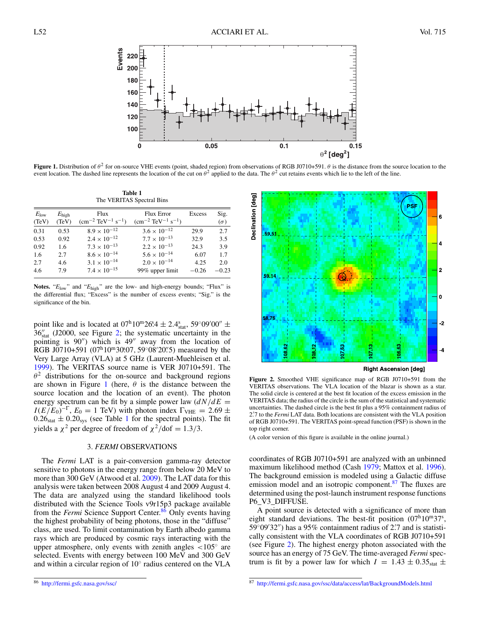

**Figure 1.** Distribution of  $θ^2$  for on-source VHE events (point, shaded region) from observations of RGB J0710+591.  $θ$  is the distance from the source location to the event location. The dashed line represents the location of the cut on  $\theta^2$  applied to the data. The  $\theta^2$  cut retains events which lie to the left of the line.

**Table 1** The VERITAS Spectral Bins

| $E_{\text{low}}$<br>(TeV) | $E_{\text{high}}$<br>(TeV) | Flux<br>$\rm (cm^{-2} \ TeV^{-1} \ s^{-1})$ | <b>Flux Error</b><br>$\rm (cm^{-2} \ TeV^{-1} \ s^{-1})$ | Excess  | Sig.<br>$(\sigma)$ |
|---------------------------|----------------------------|---------------------------------------------|----------------------------------------------------------|---------|--------------------|
| 0.31                      | 0.53                       | $8.9 \times 10^{-12}$                       | $3.6 \times 10^{-12}$                                    | 29.9    | 2.7                |
| 0.53                      | 0.92                       | $2.4 \times 10^{-12}$                       | $7.7 \times 10^{-13}$                                    | 32.9    | 3.5                |
| 0.92                      | 1.6                        | $7.3 \times 10^{-13}$                       | $2.2 \times 10^{-13}$                                    | 24.3    | 3.9                |
| 1.6                       | 2.7                        | $8.6 \times 10^{-14}$                       | $5.6 \times 10^{-14}$                                    | 6.07    | 1.7                |
| 2.7                       | 4.6                        | $3.1 \times 10^{-14}$                       | $2.0 \times 10^{-14}$                                    | 4.25    | 2.0                |
| 4.6                       | 7.9                        | $7.4 \times 10^{-15}$                       | 99% upper limit                                          | $-0.26$ | $-0.23$            |

**Notes.** "*E*low" and "*E*high" are the low- and high-energy bounds; "Flux" is the differential flux; "Excess" is the number of excess events; "Sig." is the significance of the bin.

point like and is located at  $0.07^{\circ}10^{\circ}26.4 \pm 2.4^{\circ}_{stat}$ ,  $59^{\circ}09'00'' \pm 2.4^{\circ}_{stat}$ 36 stat (J2000, see Figure 2; the systematic uncertainty in the pointing is  $90''$ ) which is  $49''$  away from the location of RGB J0710+591 (07<sup>h</sup>10<sup>m</sup>30.07, 59°08′20′.5) measured by the Very Large Array (VLA) at 5 GHz (Laurent-Muehleisen et al. [1999\)](#page-7-0). The VERITAS source name is VER J0710+591. The  $\theta^2$  distributions for the on-source and background regions are shown in Figure 1 (here,  $\theta$  is the distance between the source location and the location of an event). The photon energy spectrum can be fit by a simple power law  $\left(\frac{dN}{dE}\right)$  $I(E/E_0)^{-\Gamma}$ ,  $E_0 = 1$  TeV) with photon index  $\Gamma_{\text{VHE}} = 2.69 \pm 1.00$  $0.26<sub>stat</sub> \pm 0.20<sub>sys</sub>$  (see Table 1 for the spectral points). The fit yields a  $\chi^2$  per degree of freedom of  $\chi^2$ /dof = 1.3/3.

#### 3. *FERMI* OBSERVATIONS

The *Fermi* LAT is a pair-conversion gamma-ray detector sensitive to photons in the energy range from below 20 MeV to more than 300 GeV (Atwood et al. [2009\)](#page-6-0). The LAT data for this analysis were taken between 2008 August 4 and 2009 August 4. The data are analyzed using the standard likelihood tools distributed with the Science Tools v9r15p3 package available from the *Fermi* Science Support Center.<sup>86</sup> Only events having the highest probability of being photons, those in the "diffuse" class, are used. To limit contamination by Earth albedo gamma rays which are produced by cosmic rays interacting with the upper atmosphere, only events with zenith angles *<*105◦ are selected. Events with energy between 100 MeV and 300 GeV and within a circular region of 10◦ radius centered on the VLA



**Figure 2.** Smoothed VHE significance map of RGB J0710+591 from the VERITAS observations. The VLA location of the blazar is shown as a star. The solid circle is centered at the best fit location of the excess emission in the VERITAS data; the radius of the circle is the sum of the statistical and systematic uncertainties. The dashed circle is the best fit plus a 95% containment radius of 2*.* 7 to the *Fermi* LAT data. Both locations are consistent with the VLA position of RGB J0710+591. The VERITAS point-spread function (PSF) is shown in the top right corner.

(A color version of this figure is available in the online journal.)

coordinates of RGB J0710+591 are analyzed with an unbinned maximum likelihood method (Cash [1979;](#page-6-0) Mattox et al. [1996\)](#page-7-0). The background emission is modeled using a Galactic diffuse emission model and an isotropic component.<sup>87</sup> The fluxes are determined using the post-launch instrument response functions P6\_V3\_DIFFUSE.

A point source is detected with a significance of more than eight standard deviations. The best-fit position  $(07^h10^m37^s,$  $59^{\circ}09'32''$ ) has a 95% containment radius of 2.<sup>7</sup> and is statistically consistent with the VLA coordinates of RGB J0710+591 (see Figure 2). The highest energy photon associated with the source has an energy of 75 GeV. The time-averaged *Fermi* spectrum is fit by a power law for which  $I = 1.43 \pm 0.35_{stat} \pm 1.43$ 

<sup>87</sup> <http://fermi.gsfc.nasa.gov/ssc/data/access/lat/BackgroundModels.html>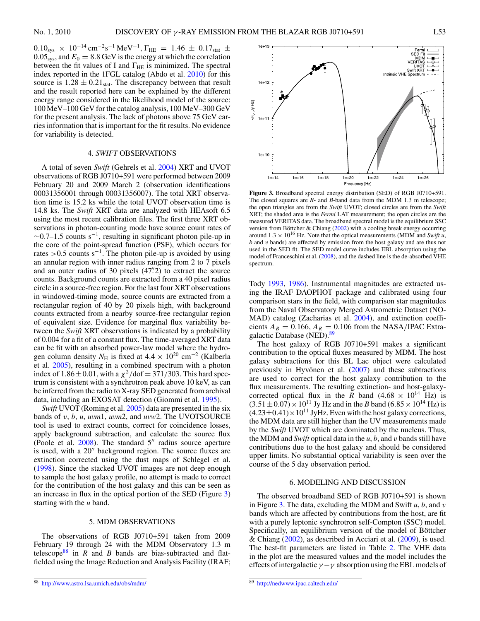$0.10_{sys} \times 10^{-14} \text{ cm}^{-2} \text{s}^{-1} \text{ MeV}^{-1}$ ,  $\Gamma_{HE} = 1.46 \pm 0.17_{stat} \pm 0.05$  $0.05_{\rm sys}$ , and  $E_0 = 8.8$  GeV is the energy at which the correlation between the fit values of I and  $\Gamma_{\text{HE}}$  is minimized. The spectral index reported in the 1FGL catalog (Abdo et al. [2010\)](#page-6-0) for this source is  $1.28 \pm 0.21_{stat}$ . The discrepancy between that result and the result reported here can be explained by the different energy range considered in the likelihood model of the source: 100 MeV–100 GeV for the catalog analysis, 100 MeV–300 GeV for the present analysis. The lack of photons above 75 GeV carries information that is important for the fit results. No evidence for variability is detected.

### 4. *SWIFT* OBSERVATIONS

A total of seven *Swift* (Gehrels et al. [2004\)](#page-6-0) XRT and UVOT observations of RGB J0710+591 were performed between 2009 February 20 and 2009 March 2 (observation identifications 00031356001 through 00031356007). The total XRT observation time is 15.2 ks while the total UVOT observation time is 14.8 ks. The *Swift* XRT data are analyzed with HEAsoft 6.5 using the most recent calibration files. The first three XRT observations in photon-counting mode have source count rates of  $\sim$ 0.7–1.5 counts s<sup>-1</sup>, resulting in significant photon pile-up in the core of the point-spread function (PSF), which occurs for rates > 0.5 counts s<sup>-1</sup>. The photon pile-up is avoided by using an annular region with inner radius ranging from 2 to 7 pixels and an outer radius of 30 pixels (47*.* 2) to extract the source counts. Background counts are extracted from a 40 pixel radius circle in a source-free region. For the last four XRT observations in windowed-timing mode, source counts are extracted from a rectangular region of 40 by 20 pixels high, with background counts extracted from a nearby source-free rectangular region of equivalent size. Evidence for marginal flux variability between the *Swift* XRT observations is indicated by a probability of 0.004 for a fit of a constant flux. The time-averaged XRT data can be fit with an absorbed power-law model where the hydrogen column density  $N_H$  is fixed at  $4.4 \times 10^{20}$  cm<sup>-2</sup> (Kalberla et al. [2005\)](#page-7-0), resulting in a combined spectrum with a photon index of  $1.86 \pm 0.01$ , with a  $\chi^2$ /dof = 371/303. This hard spectrum is consistent with a synchrotron peak above 10 keV, as can be inferred from the radio to X-ray SED generated from archival data, including an EXOSAT detection (Giommi et al. [1995\)](#page-6-0).

*Swift* UVOT (Roming et al. [2005\)](#page-7-0) data are presented in the six bands of *v*, *b*, *u*, *uvm*1, *uvm*2, and *uvw*2. The UVOTSOURCE tool is used to extract counts, correct for coincidence losses, apply background subtraction, and calculate the source flux (Poole et al.  $2008$ ). The standard  $5''$  radius source aperture is used, with a 20" background region. The source fluxes are extinction corrected using the dust maps of Schlegel et al. [\(1998\)](#page-7-0). Since the stacked UVOT images are not deep enough to sample the host galaxy profile, no attempt is made to correct for the contribution of the host galaxy and this can be seen as an increase in flux in the optical portion of the SED (Figure 3) starting with the *u* band.

### 5. MDM OBSERVATIONS

The observations of RGB J0710+591 taken from 2009 February 19 through 24 with the MDM Observatory 1.3 m telescope<sup>88</sup> in *R* and *B* bands are bias-subtracted and flatfielded using the Image Reduction and Analysis Facility (IRAF;



**Figure 3.** Broadband spectral energy distribution (SED) of RGB J0710+591. The closed squares are *R*- and *B*-band data from the MDM 1.3 m telescope; the open triangles are from the *Swift* UVOT; closed circles are from the *Swift* XRT; the shaded area is the *Fermi* LAT measurement; the open circles are the measured VERITAS data. The broadband spectral model is the equilibrium SSC version from Böttcher & Chiang  $(2002)$  $(2002)$  with a cooling break energy occurring around  $1.3 \times 10^{16}$  Hz. Note that the optical measurements (MDM and *Swift u*, *b* and *v* bands) are affected by emission from the host galaxy and are thus not used in the SED fit. The SED model curve includes EBL absorption using the model of Franceschini et al. [\(2008\)](#page-6-0), and the dashed line is the de-absorbed VHE spectrum.

Tody [1993,](#page-7-0) [1986\)](#page-7-0). Instrumental magnitudes are extracted using the IRAF DAOPHOT package and calibrated using four comparison stars in the field, with comparison star magnitudes from the Naval Observatory Merged Astrometric Dataset (NO-MAD) catalog (Zacharias et al. [2004\)](#page-7-0), and extinction coefficients  $A_B = 0.166$ ,  $A_R = 0.106$  from the NASA/IPAC Extragalactic Database (NED).<sup>89</sup>

The host galaxy of RGB J0710+591 makes a significant contribution to the optical fluxes measured by MDM. The host galaxy subtractions for this BL Lac object were calculated previously in Hyvönen et al.  $(2007)$  $(2007)$  and these subtractions are used to correct for the host galaxy contribution to the flux measurements. The resulting extinction- and host-galaxycorrected optical flux in the *R* band  $(4.68 \times 10^{14} \text{ Hz})$  is  $(3.51 \pm 0.07) \times 10^{11}$  Jy Hz and in the *B* band  $(6.85 \times 10^{14}$  Hz) is  $(4.23\pm0.41)\times10^{11}$  JyHz. Even with the host galaxy corrections, the MDM data are still higher than the UV measurements made by the *Swift* UVOT which are dominated by the nucleus. Thus, the MDM and *Swift* optical data in the *u*, *b*, and *v* bands still have contributions due to the host galaxy and should be considered upper limits. No substantial optical variability is seen over the course of the 5 day observation period.

#### 6. MODELING AND DISCUSSION

The observed broadband SED of RGB J0710+591 is shown in Figure 3. The data, excluding the MDM and Swift *u*, *b*, and *v* bands which are affected by contributions from the host, are fit with a purely leptonic synchrotron self-Compton (SSC) model. Specifically, an equilibrium version of the model of Böttcher & Chiang [\(2002\)](#page-6-0), as described in Acciari et al. [\(2009\)](#page-6-0), is used. The best-fit parameters are listed in Table [2.](#page-6-0) The VHE data in the plot are the measured values and the model includes the effects of intergalactic  $\gamma - \gamma$  absorption using the EBL models of

<sup>88</sup> <http://www.astro.lsa.umich.edu/obs/mdm/>

<sup>89</sup> <http://nedwww.ipac.caltech.edu/>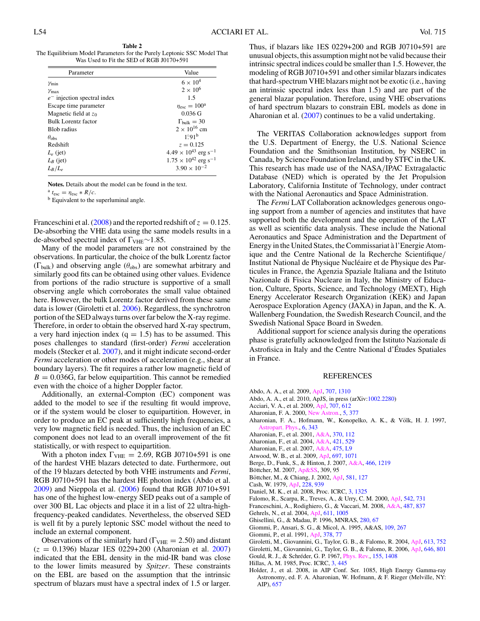**Table 2**

<span id="page-6-0"></span>The Equilibrium Model Parameters for the Purely Leptonic SSC Model That Was Used to Fit the SED of RGB J0170+591

| Parameter                      | Value                                     |  |  |
|--------------------------------|-------------------------------------------|--|--|
| $\gamma_{\min}$                | $6 \times 10^4$                           |  |  |
| $\gamma_{\text{max}}$          | $2 \times 10^6$                           |  |  |
| $e^-$ injection spectral index | 1.5                                       |  |  |
| Escape time parameter          | $\eta_{\rm esc}=100^{\rm a}$              |  |  |
| Magnetic field at $z_0$        | $0.036 \text{ G}$                         |  |  |
| Bulk Lorentz factor            | $\Gamma_{\text{bulk}} = 30$               |  |  |
| <b>Blob</b> radius             | $2 \times 10^{16}$ cm                     |  |  |
| $\theta_{obs}$                 | 1°91 <sup>b</sup>                         |  |  |
| Redshift                       | $z = 0.125$                               |  |  |
| $L_{\rho}$ (jet)               | $4.49 \times 10^{43}$ erg s <sup>-1</sup> |  |  |
| $L_B$ (jet)                    | $1.75 \times 10^{42}$ erg s <sup>-1</sup> |  |  |
| $L_R/L_e$                      | $3.90 \times 10^{-2}$                     |  |  |

**Notes.** Details about the model can be found in the text.

 $n<sup>a</sup> t<sub>esc</sub> = \eta<sub>esc</sub> * R/c.$ <br>b Equivalent to the superluminal angle.

Franceschini et al.  $(2008)$  and the reported redshift of  $z = 0.125$ . De-absorbing the VHE data using the same models results in a de-absorbed spectral index of  $\Gamma_{\text{VHE}}$ ∼1.85.

Many of the model parameters are not constrained by the observations. In particular, the choice of the bulk Lorentz factor (Γbulk) and observing angle (*θ*obs) are somewhat arbitrary and similarly good fits can be obtained using other values. Evidence from portions of the radio structure is supportive of a small observing angle which corroborates the small value obtained here. However, the bulk Lorentz factor derived from these same data is lower (Giroletti et al. 2006). Regardless, the synchrotron portion of the SED always turns over far below the X-ray regime. Therefore, in order to obtain the observed hard X-ray spectrum, a very hard injection index  $(q = 1.5)$  has to be assumed. This poses challenges to standard (first-order) *Fermi* acceleration models (Stecker et al. [2007\)](#page-7-0), and it might indicate second-order *Fermi* acceleration or other modes of acceleration (e.g., shear at boundary layers). The fit requires a rather low magnetic field of  $B = 0.036G$ , far below equipartition. This cannot be remedied even with the choice of a higher Doppler factor.

Additionally, an external-Compton (EC) component was added to the model to see if the resulting fit would improve, or if the system would be closer to equipartition. However, in order to produce an EC peak at sufficiently high frequencies, a very low magnetic field is needed. Thus, the inclusion of an EC component does not lead to an overall improvement of the fit statistically, or with respect to equipartition.

With a photon index  $\Gamma_{\text{VHE}} = 2.69$ , RGB J0710+591 is one of the hardest VHE blazars detected to date. Furthermore, out of the 19 blazars detected by both VHE instruments and *Fermi*, RGB J0710+591 has the hardest HE photon index (Abdo et al.  $2009$ ) and Nieppola et al.  $(2006)$  found that RGB J0710+591 has one of the highest low-energy SED peaks out of a sample of over 300 BL Lac objects and place it in a list of 22 ultra-highfrequency-peaked candidates. Nevertheless, the observed SED is well fit by a purely leptonic SSC model without the need to include an external component.

Observations of the similarly hard ( $\Gamma_{\text{VHE}} = 2.50$ ) and distant (*z* = 0.1396) blazar 1ES 0229+200 (Aharonian et al. 2007) indicated that the EBL density in the mid-IR band was close to the lower limits measured by *Spitzer*. These constraints on the EBL are based on the assumption that the intrinsic spectrum of blazars must have a spectral index of 1.5 or larger.

Thus, if blazars like 1ES 0229+200 and RGB J0710+591 are unusual objects, this assumption might not be valid because their intrinsic spectral indices could be smaller than 1.5. However, the modeling of RGB J0710+591 and other similar blazars indicates that hard-spectrum VHE blazars might not be exotic (i.e., having an intrinsic spectral index less than 1.5) and are part of the general blazar population. Therefore, using VHE observations of hard spectrum blazars to constrain EBL models as done in Aharonian et al. (2007) continues to be a valid undertaking.

The VERITAS Collaboration acknowledges support from the U.S. Department of Energy, the U.S. National Science Foundation and the Smithsonian Institution, by NSERC in Canada, by Science Foundation Ireland, and by STFC in the UK. This research has made use of the NASA*/*IPAC Extragalactic Database (NED) which is operated by the Jet Propulsion Laboratory, California Institute of Technology, under contract with the National Aeronautics and Space Administration.

The *Fermi* LAT Collaboration acknowledges generous ongoing support from a number of agencies and institutes that have supported both the development and the operation of the LAT as well as scientific data analysis. These include the National Aeronautics and Space Administration and the Department of Energy in the United States, the Commissariat a l'Energie Atom- ` ique and the Centre National de la Recherche Scientifique*/* Institut National de Physique Nucléaire et de Physique des Particules in France, the Agenzia Spaziale Italiana and the Istituto Nazionale di Fisica Nucleare in Italy, the Ministry of Education, Culture, Sports, Science, and Technology (MEXT), High Energy Accelerator Research Organization (KEK) and Japan Aerospace Exploration Agency (JAXA) in Japan, and the K. A. Wallenberg Foundation, the Swedish Research Council, and the Swedish National Space Board in Sweden.

Additional support for science analysis during the operations phase is gratefully acknowledged from the Istituto Nazionale di Astrofisica in Italy and the Centre National d'Etudes Spatiales ´ in France.

#### REFERENCES

- Abdo, A. A., et al. 2009, [ApJ,](http://dx.doi.org/10.1088/0004-637X/707/2/1310) [707, 1310](http://adsabs.harvard.edu/abs/2009ApJ...707.1310A)
- Abdo, A. A., et al. 2010, ApJS, in press (arXiv[:1002.2280\)](http://www.arxiv.org/abs/1002.2280)
- Acciari, V. A., et al. 2009, [ApJ,](http://dx.doi.org/10.1088/0004-637X/707/1/612) [707, 612](http://adsabs.harvard.edu/abs/2009ApJ...707..612A)
- Aharonian, F. A. 2000, [New Astron.,](http://dx.doi.org/10.1016/S1384-1076(00)00039-7) [5, 377](http://adsabs.harvard.edu/abs/2000NewA....5..377A)
- Aharonian, F. A., Hofmann, W., Konopelko, A. K., & Völk, H. J. 1997, [Astropart. Phys.,](http://dx.doi.org/10.1016/S0927-6505(96)00069-2) [6, 343](http://adsabs.harvard.edu/abs/1997APh.....6..343A)
- Aharonian, F., et al. 2001, [A&A,](http://dx.doi.org/10.1051/0004-6361:20010243) [370, 112](http://adsabs.harvard.edu/abs/2001A&A...370..112A)
- Aharonian, F., et al. 2004, [A&A,](http://dx.doi.org/10.1051/0004-6361:20035764) [421, 529](http://adsabs.harvard.edu/abs/2004A&A...421..529A)
- Aharonian, F., et al. 2007, [A&A,](http://dx.doi.org/10.1051/0004-6361:20078462) [475, L9](http://adsabs.harvard.edu/abs/2007A&A...475L...9A)
- Atwood, W. B., et al. 2009, [ApJ,](http://dx.doi.org/10.1088/0004-637X/697/2/1071) [697, 1071](http://adsabs.harvard.edu/abs/2009ApJ...697.1071A)
- Berge, D., Funk, S., & Hinton, J. 2007, [A&A,](http://dx.doi.org/10.1051/0004-6361:20066674) [466, 1219](http://adsabs.harvard.edu/abs/2007A&A...466.1219B)
- Böttcher, M. 2007, [Ap&SS,](http://dx.doi.org/10.1007/s10509-007-9404-0) 309, 95
- Böttcher, M., & Chiang, J. 2002, [ApJ,](http://dx.doi.org/10.1086/344155) [581, 127](http://adsabs.harvard.edu/abs/2002ApJ...581..127B)
- Cash, W. 1979, [ApJ,](http://dx.doi.org/10.1086/156922) [228, 939](http://adsabs.harvard.edu/abs/1979ApJ...228..939C)
- Daniel, M. K., et al. 2008, Proc. ICRC, [3, 1325](http://adsabs.harvard.edu/abs/2008ICRC....3.1325D)
- Falomo, R., Scarpa, R., Treves, A., & Urry, C. M. 2000, [ApJ,](http://dx.doi.org/10.1086/317044) [542, 731](http://adsabs.harvard.edu/abs/2000ApJ...542..731F)
- Franceschini, A., Rodighiero, G., & Vaccari, M. 2008, [A&A,](http://dx.doi.org/10.1051/0004-6361:200809691) [487, 837](http://adsabs.harvard.edu/abs/2008A&A...487..837F)
- Gehrels, N., et al. 2004, [ApJ,](http://dx.doi.org/10.1086/422091) [611, 1005](http://adsabs.harvard.edu/abs/2004ApJ...611.1005G) Ghisellini, G., & Madau, P. 1996, MNRAS, [280, 67](http://adsabs.harvard.edu/abs/1996MNRAS.280...67G)
- Giommi, P., Ansari, S. G., & Micol, A. 1995, A&AS, [109, 267](http://adsabs.harvard.edu/abs/1995A&AS..109..267G)
- Giommi, P., et al. 1991, [ApJ,](http://dx.doi.org/10.1086/170408) [378, 77](http://adsabs.harvard.edu/abs/1991ApJ...378...77G)
- 
- Giroletti, M., Giovannini, G., Taylor, G. B., & Falomo, R. 2004, [ApJ,](http://dx.doi.org/10.1086/423231) [613, 752](http://adsabs.harvard.edu/abs/2004ApJ...613..752G) Giroletti, M., Giovannini, G., Taylor, G. B., & Falomo, R. 2006, [ApJ,](http://dx.doi.org/10.1086/504971) [646, 801](http://adsabs.harvard.edu/abs/2006ApJ...646..801G)
- 
- Gould, R. J., & Schréder, G. P. 1967, *Phys. Rev.*, [155, 1408](http://adsabs.harvard.edu/abs/1967PhRv..155.1408G)
- Hillas, A. M. 1985, Proc. ICRC, [3, 445](http://adsabs.harvard.edu/abs/1985ICRC....3..445H)
- Holder, J., et al. 2008, in AIP Conf. Ser. 1085, High Energy Gamma-ray Astronomy, ed. F. A. Aharonian, W. Hofmann, & F. Rieger (Melville, NY: AIP), [657](http://adsabs.harvard.edu/abs/2008AIPC.1085..657H)